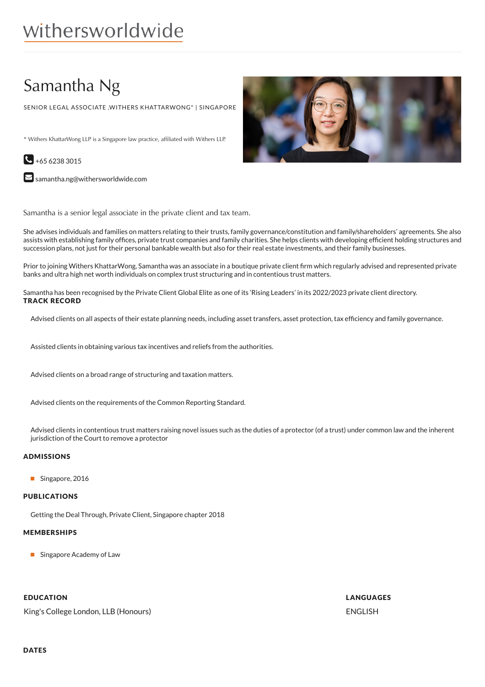# withersworldwide

## Samantha Ng

SENIOR LEGAL ASSOCIATE ,WITHERS KHATTARWONG\* | SINGAPORE

\* Withers KhattarWong LLP is a Singapore law practice, affiliated with Withers LLP.



 $\blacktriangleright$  [samantha.ng@withersworldwide.com](mailto:samantha.ng@withersworldwide.com?subject=Website Enquiry - Profile Page)

Samantha is a senior legal associate in the private client and tax team.

She advises individuals and families on matters relating to their trusts, family governance/constitution and family/shareholders' agreements. She also assists with establishing family offices, private trust companies and family charities. She helps clients with developing efficient holding structures and succession plans, not just for their personal bankable wealth but also for their real estate investments, and their family businesses.

Prior to joining Withers KhattarWong, Samantha was an associate in a boutique private client firm which regularly advised and represented private banks and ultra high net worth individuals on complex trust structuring and in contentious trust matters.

Samantha has been recognised by the Private Client Global Elite as one of its 'Rising Leaders' in its 2022/2023 private client directory. TRACK RECORD

Advised clients on all aspects of their estate planning needs, including asset transfers, asset protection, tax efficiency and family governance.

Assisted clients in obtaining various tax incentives and reliefs from the authorities.

Advised clients on a broad range of structuring and taxation matters.

Advised clients on the requirements of the Common Reporting Standard.

Advised clients in contentious trust matters raising novel issues such as the duties of a protector (of a trust) under common law and the inherent jurisdiction of the Court to remove a protector

#### ADMISSIONS

Singapore, 2016

#### PUBLICATIONS

Getting the Deal Through, Private Client, Singapore chapter 2018

#### MEMBERSHIPS

**Singapore Academy of Law** 

#### EDUCATION

King's College London, LLB (Honours)



LANGUAGES ENGLISH